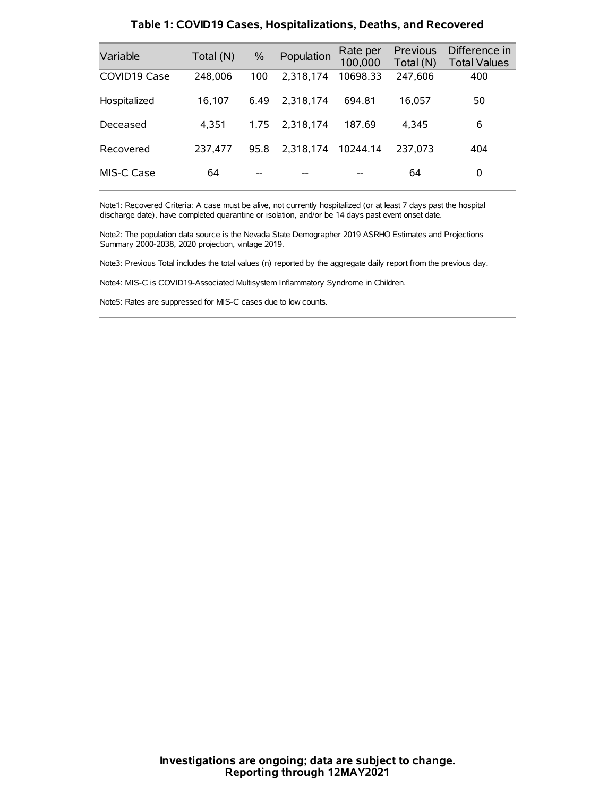| Variable     | Total (N) | $\%$ | Population | Rate per<br>100,000 | Previous<br>Total (N) | Difference in<br><b>Total Values</b> |
|--------------|-----------|------|------------|---------------------|-----------------------|--------------------------------------|
| COVID19 Case | 248,006   | 100  | 2.318.174  | 10698.33            | 247,606               | 400                                  |
| Hospitalized | 16.107    | 6.49 | 2.318.174  | 694.81              | 16,057                | 50                                   |
| Deceased     | 4.351     | 1.75 | 2.318.174  | 187.69              | 4.345                 | 6                                    |
| Recovered    | 237.477   | 95.8 | 2.318.174  | 10244.14            | 237.073               | 404                                  |
| MIS-C Case   | 64        | --   |            |                     | 64                    | 0                                    |

#### **Table 1: COVID19 Cases, Hospitalizations, Deaths, and Recovered**

Note1: Recovered Criteria: A case must be alive, not currently hospitalized (or at least 7 days past the hospital discharge date), have completed quarantine or isolation, and/or be 14 days past event onset date.

Note2: The population data source is the Nevada State Demographer 2019 ASRHO Estimates and Projections Summary 2000-2038, 2020 projection, vintage 2019.

Note3: Previous Total includes the total values (n) reported by the aggregate daily report from the previous day.

Note4: MIS-C is COVID19-Associated Multisystem Inflammatory Syndrome in Children.

Note5: Rates are suppressed for MIS-C cases due to low counts.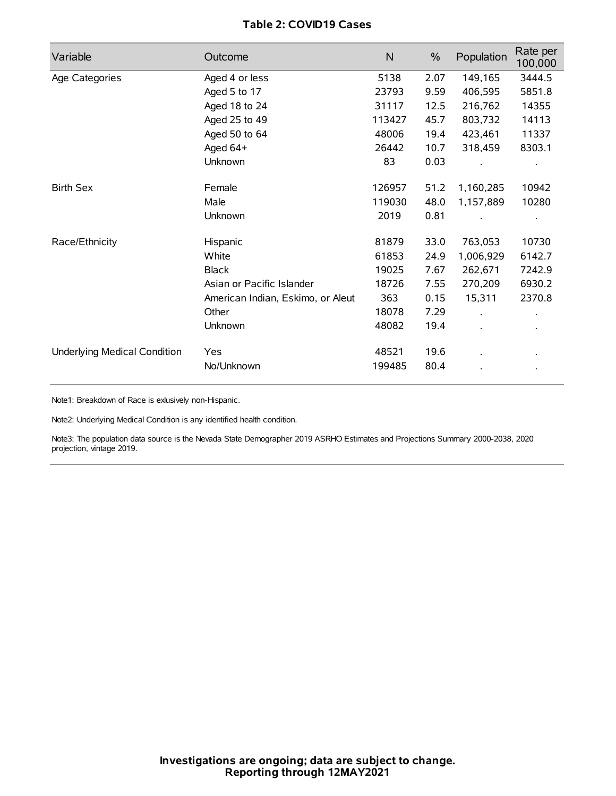## **Table 2: COVID19 Cases**

| Variable                     | Outcome                           | $\mathsf{N}$ | $\%$ | Population | Rate per<br>100,000 |
|------------------------------|-----------------------------------|--------------|------|------------|---------------------|
| Age Categories               | Aged 4 or less                    | 5138         | 2.07 | 149,165    | 3444.5              |
|                              | Aged 5 to 17                      | 23793        | 9.59 | 406,595    | 5851.8              |
|                              | Aged 18 to 24                     | 31117        | 12.5 | 216,762    | 14355               |
|                              | Aged 25 to 49                     | 113427       | 45.7 | 803,732    | 14113               |
|                              | Aged 50 to 64                     | 48006        | 19.4 | 423,461    | 11337               |
|                              | Aged 64+                          | 26442        | 10.7 | 318,459    | 8303.1              |
|                              | Unknown                           | 83           | 0.03 |            |                     |
| <b>Birth Sex</b>             | Female                            | 126957       | 51.2 | 1,160,285  | 10942               |
|                              | Male                              | 119030       | 48.0 | 1,157,889  | 10280               |
|                              | Unknown                           | 2019         | 0.81 |            |                     |
| Race/Ethnicity               | Hispanic                          | 81879        | 33.0 | 763,053    | 10730               |
|                              | White                             | 61853        | 24.9 | 1,006,929  | 6142.7              |
|                              | <b>Black</b>                      | 19025        | 7.67 | 262,671    | 7242.9              |
|                              | Asian or Pacific Islander         | 18726        | 7.55 | 270,209    | 6930.2              |
|                              | American Indian, Eskimo, or Aleut | 363          | 0.15 | 15,311     | 2370.8              |
|                              | Other                             | 18078        | 7.29 |            |                     |
|                              | Unknown                           | 48082        | 19.4 |            |                     |
| Underlying Medical Condition | <b>Yes</b>                        | 48521        | 19.6 |            |                     |
|                              | No/Unknown                        | 199485       | 80.4 |            |                     |

Note1: Breakdown of Race is exlusively non-Hispanic.

Note2: Underlying Medical Condition is any identified health condition.

Note3: The population data source is the Nevada State Demographer 2019 ASRHO Estimates and Projections Summary 2000-2038, 2020 projection, vintage 2019.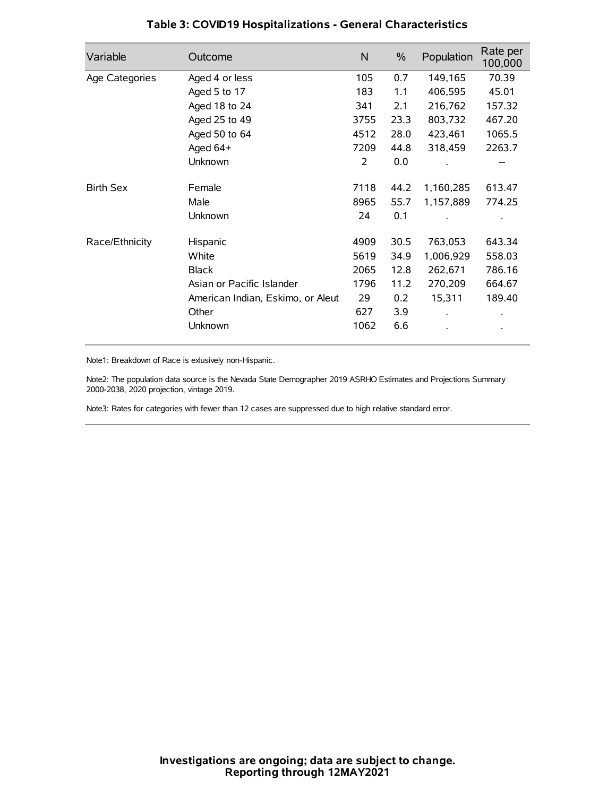| Variable         | Outcome                           | $\mathsf{N}$ | $\%$ | Population | Rate per<br>100,000 |
|------------------|-----------------------------------|--------------|------|------------|---------------------|
| Age Categories   | Aged 4 or less                    | 105          | 0.7  | 149,165    | 70.39               |
|                  | Aged 5 to 17                      | 183          | 1.1  | 406,595    | 45.01               |
|                  | Aged 18 to 24                     | 341          | 2.1  | 216,762    | 157.32              |
|                  | Aged 25 to 49                     | 3755         | 23.3 | 803,732    | 467.20              |
|                  | Aged 50 to 64                     | 4512         | 28.0 | 423,461    | 1065.5              |
|                  | Aged 64+                          | 7209         | 44.8 | 318,459    | 2263.7              |
|                  | Unknown                           | 2            | 0.0  |            |                     |
| <b>Birth Sex</b> | Female                            | 7118         | 44.2 | 1,160,285  | 613.47              |
|                  | Male                              | 8965         | 55.7 | 1,157,889  | 774.25              |
|                  | Unknown                           | 24           | 0.1  |            |                     |
| Race/Ethnicity   | Hispanic                          | 4909         | 30.5 | 763,053    | 643.34              |
|                  | White                             | 5619         | 34.9 | 1,006,929  | 558.03              |
|                  | <b>Black</b>                      | 2065         | 12.8 | 262,671    | 786.16              |
|                  | Asian or Pacific Islander         | 1796         | 11.2 | 270,209    | 664.67              |
|                  | American Indian, Eskimo, or Aleut | 29           | 0.2  | 15,311     | 189.40              |
|                  | Other                             | 627          | 3.9  |            |                     |
|                  | Unknown                           | 1062         | 6.6  |            |                     |

## **Table 3: COVID19 Hospitalizations - General Characteristics**

Note1: Breakdown of Race is exlusively non-Hispanic.

Note2: The population data source is the Nevada State Demographer 2019 ASRHO Estimates and Projections Summary 2000-2038, 2020 projection, vintage 2019.

Note3: Rates for categories with fewer than 12 cases are suppressed due to high relative standard error.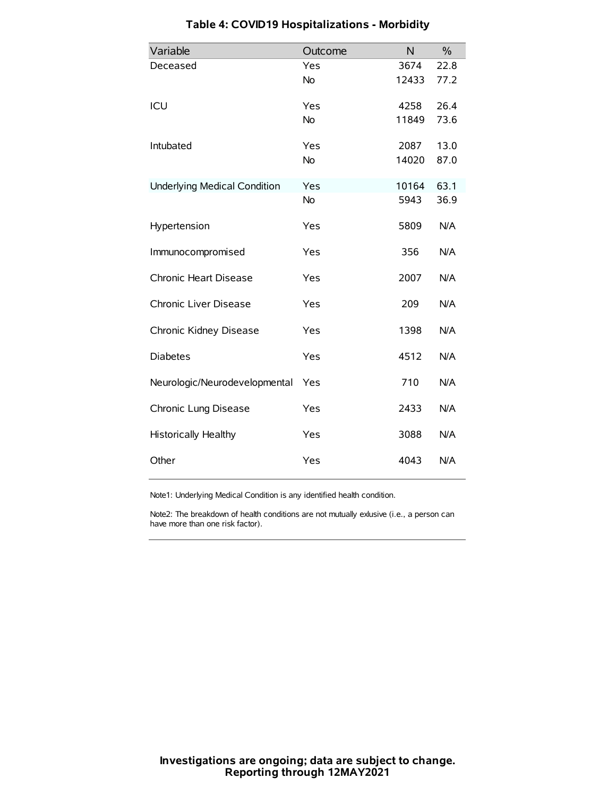| Variable                            | Outcome   | N     | $\%$ |
|-------------------------------------|-----------|-------|------|
| Deceased                            | Yes       | 3674  | 22.8 |
|                                     | <b>No</b> | 12433 | 77.2 |
| ICU                                 | Yes       | 4258  | 26.4 |
|                                     | <b>No</b> | 11849 | 73.6 |
| Intubated                           | Yes       | 2087  | 13.0 |
|                                     | <b>No</b> | 14020 | 87.0 |
| <b>Underlying Medical Condition</b> | Yes       | 10164 | 63.1 |
|                                     | <b>No</b> | 5943  | 36.9 |
| Hypertension                        | Yes       | 5809  | N/A  |
| Immunocompromised                   | Yes       | 356   | N/A  |
| Chronic Heart Disease               | Yes       | 2007  | N/A  |
| Chronic Liver Disease               | Yes       | 209   | N/A  |
| Chronic Kidney Disease              | Yes       | 1398  | N/A  |
| <b>Diabetes</b>                     | Yes       | 4512  | N/A  |
| Neurologic/Neurodevelopmental       | Yes       | 710   | N/A  |
| Chronic Lung Disease                | Yes       | 2433  | N/A  |
| <b>Historically Healthy</b>         | Yes       | 3088  | N/A  |
| Other                               | Yes       | 4043  | N/A  |

# **Table 4: COVID19 Hospitalizations - Morbidity**

Note1: Underlying Medical Condition is any identified health condition.

Note2: The breakdown of health conditions are not mutually exlusive (i.e., a person can have more than one risk factor).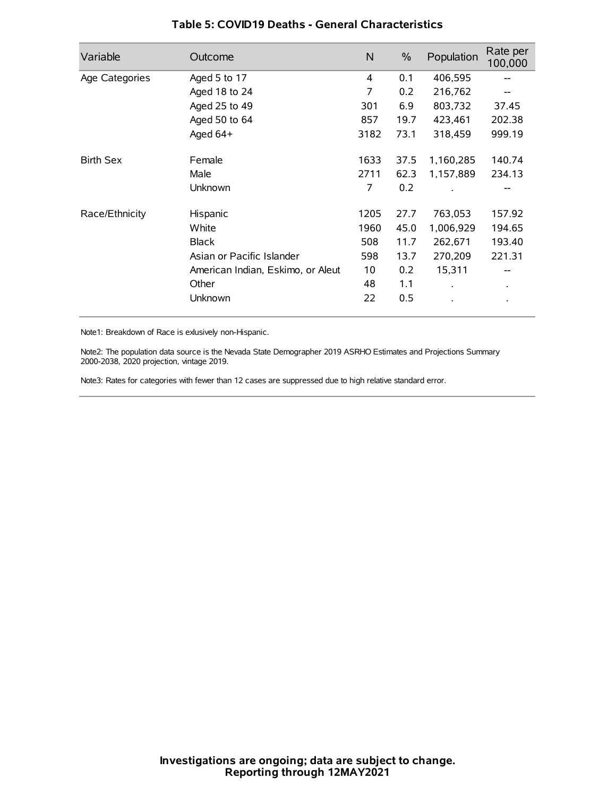| Variable         | Outcome                           | $\mathsf{N}$ | $\%$ | Population           | Rate per<br>100,000 |
|------------------|-----------------------------------|--------------|------|----------------------|---------------------|
| Age Categories   | Aged 5 to 17                      | 4            | 0.1  | 406,595              | --                  |
|                  | Aged 18 to 24                     | 7            | 0.2  | 216,762              |                     |
|                  | Aged 25 to 49                     | 301          | 6.9  | 803,732              | 37.45               |
|                  | Aged 50 to 64                     | 857          | 19.7 | 423,461              | 202.38              |
|                  | Aged 64+                          | 3182         | 73.1 | 318,459              | 999.19              |
| <b>Birth Sex</b> | Female                            | 1633         | 37.5 | 1,160,285            | 140.74              |
|                  | Male                              | 2711         | 62.3 | 1,157,889            | 234.13              |
|                  | Unknown                           | 7            | 0.2  |                      |                     |
| Race/Ethnicity   | Hispanic                          | 1205         | 27.7 | 763,053              | 157.92              |
|                  | White                             | 1960         | 45.0 | 1,006,929            | 194.65              |
|                  | <b>Black</b>                      | 508          | 11.7 | 262,671              | 193.40              |
|                  | Asian or Pacific Islander         | 598          | 13.7 | 270,209              | 221.31              |
|                  | American Indian, Eskimo, or Aleut | 10           | 0.2  | 15,311               |                     |
|                  | Other                             | 48           | 1.1  | $\ddot{\phantom{a}}$ | $\bullet$           |
|                  | Unknown                           | 22           | 0.5  |                      |                     |

## **Table 5: COVID19 Deaths - General Characteristics**

Note1: Breakdown of Race is exlusively non-Hispanic.

Note2: The population data source is the Nevada State Demographer 2019 ASRHO Estimates and Projections Summary 2000-2038, 2020 projection, vintage 2019.

Note3: Rates for categories with fewer than 12 cases are suppressed due to high relative standard error.